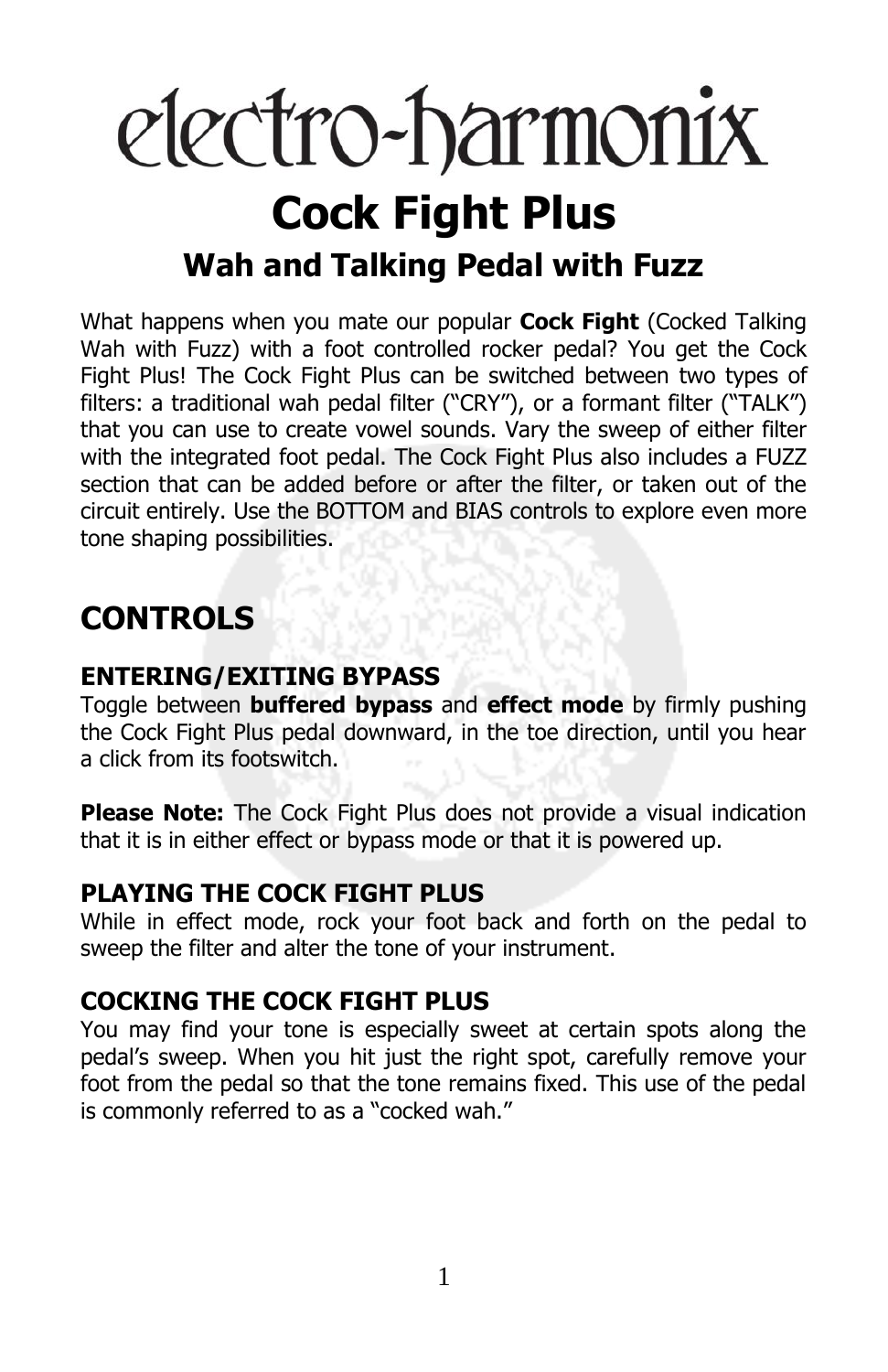# electro-harmonix **Cock Fight Plus Wah and Talking Pedal with Fuzz**

What happens when you mate our popular **Cock Fight** (Cocked Talking Wah with Fuzz) with a foot controlled rocker pedal? You get the Cock Fight Plus! The Cock Fight Plus can be switched between two types of filters: a traditional wah pedal filter ("CRY"), or a formant filter ("TALK") that you can use to create vowel sounds. Vary the sweep of either filter with the integrated foot pedal. The Cock Fight Plus also includes a FUZZ section that can be added before or after the filter, or taken out of the circuit entirely. Use the BOTTOM and BIAS controls to explore even more tone shaping possibilities.

### **CONTROLS**

### **ENTERING/EXITING BYPASS**

Toggle between **buffered bypass** and **effect mode** by firmly pushing the Cock Fight Plus pedal downward, in the toe direction, until you hear a click from its footswitch.

**Please Note:** The Cock Fight Plus does not provide a visual indication that it is in either effect or bypass mode or that it is powered up.

### **PLAYING THE COCK FIGHT PLUS**

While in effect mode, rock your foot back and forth on the pedal to sweep the filter and alter the tone of your instrument.

### **COCKING THE COCK FIGHT PLUS**

You may find your tone is especially sweet at certain spots along the pedal's sweep. When you hit just the right spot, carefully remove your foot from the pedal so that the tone remains fixed. This use of the pedal is commonly referred to as a "cocked wah."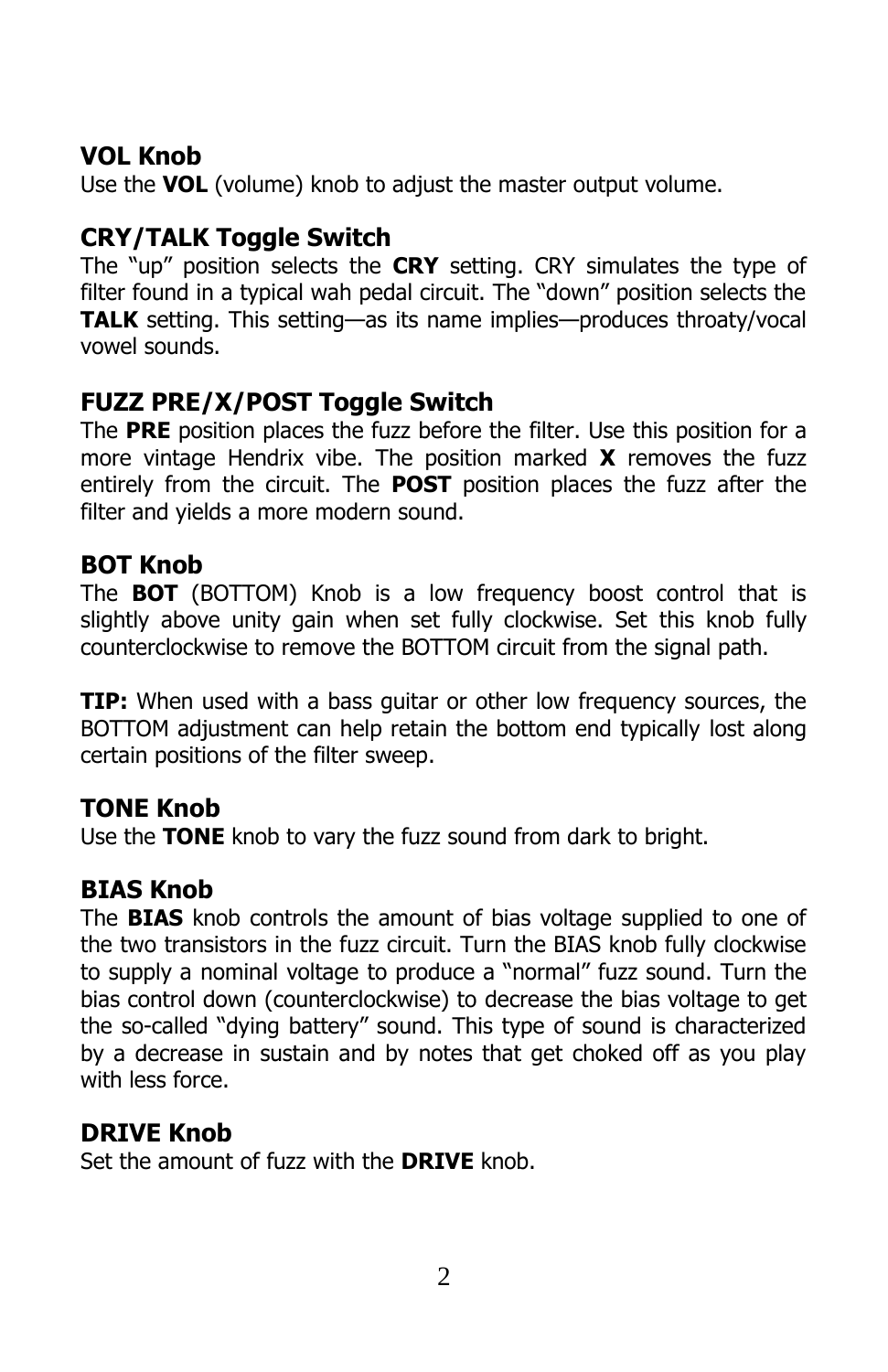### **VOL Knob**

Use the **VOL** (volume) knob to adjust the master output volume.

### **CRY/TALK Toggle Switch**

The "up" position selects the **CRY** setting. CRY simulates the type of filter found in a typical wah pedal circuit. The "down" position selects the **TALK** setting. This setting—as its name implies—produces throaty/vocal vowel sounds.

### **FUZZ PRE/X/POST Toggle Switch**

The **PRE** position places the fuzz before the filter. Use this position for a more vintage Hendrix vibe. The position marked **X** removes the fuzz entirely from the circuit. The **POST** position places the fuzz after the filter and yields a more modern sound.

### **BOT Knob**

The **BOT** (BOTTOM) Knob is a low frequency boost control that is slightly above unity gain when set fully clockwise. Set this knob fully counterclockwise to remove the BOTTOM circuit from the signal path.

**TIP:** When used with a bass guitar or other low frequency sources, the BOTTOM adjustment can help retain the bottom end typically lost along certain positions of the filter sweep.

#### **TONE Knob**

Use the **TONE** knob to vary the fuzz sound from dark to bright.

### **BIAS Knob**

The **BIAS** knob controls the amount of bias voltage supplied to one of the two transistors in the fuzz circuit. Turn the BIAS knob fully clockwise to supply a nominal voltage to produce a "normal" fuzz sound. Turn the bias control down (counterclockwise) to decrease the bias voltage to get the so-called "dying battery" sound. This type of sound is characterized by a decrease in sustain and by notes that get choked off as you play with less force.

### **DRIVE Knob**

Set the amount of fuzz with the **DRIVE** knob.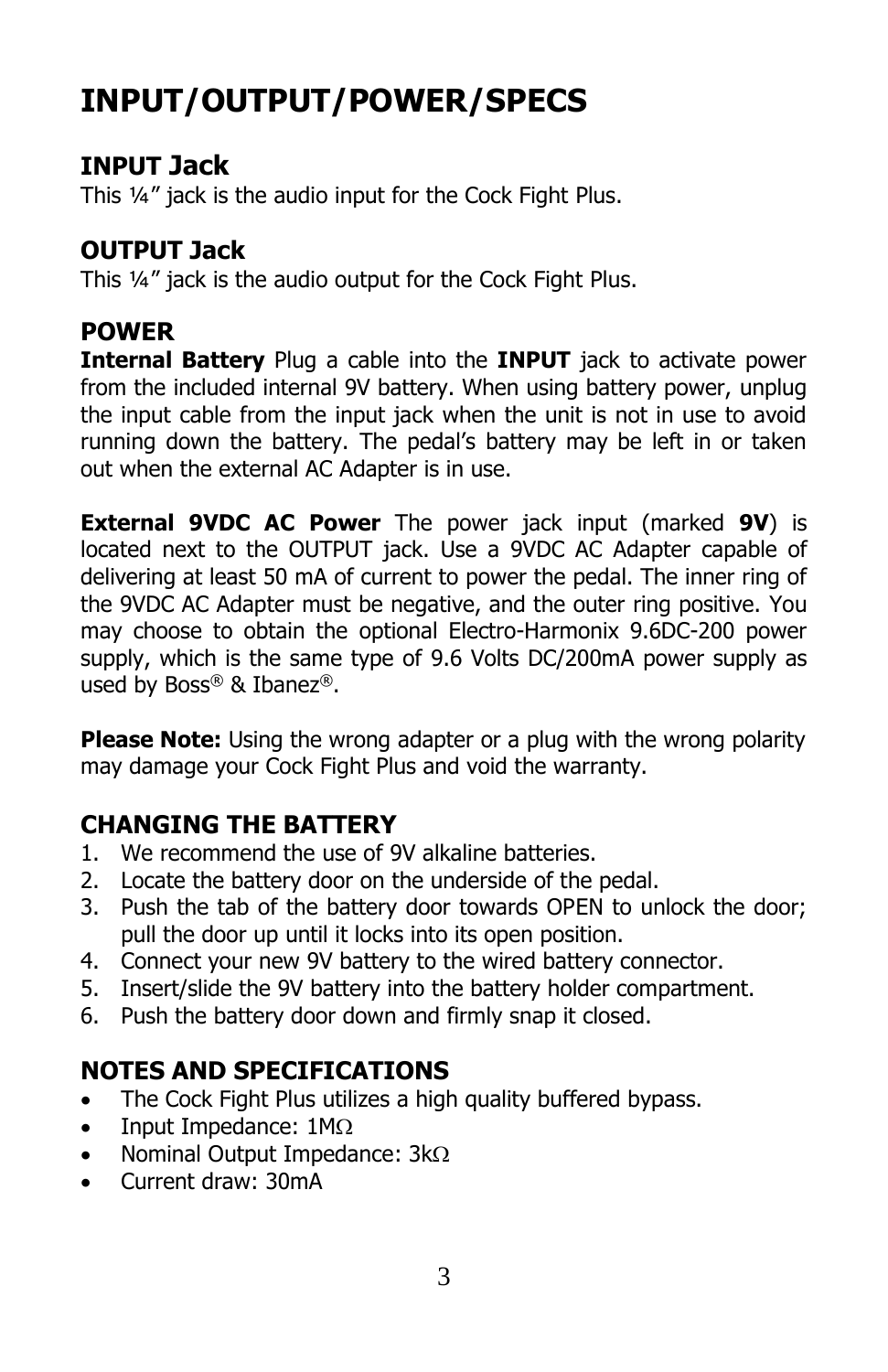## **INPUT/OUTPUT/POWER/SPECS**

### **INPUT Jack**

This ¼" jack is the audio input for the Cock Fight Plus.

### **OUTPUT Jack**

This ¼" jack is the audio output for the Cock Fight Plus.

### **POWER**

**Internal Battery** Plug a cable into the **INPUT** jack to activate power from the included internal 9V battery. When using battery power, unplug the input cable from the input jack when the unit is not in use to avoid running down the battery. The pedal's battery may be left in or taken out when the external AC Adapter is in use.

**External 9VDC AC Power** The power jack input (marked **9V**) is located next to the OUTPUT jack. Use a 9VDC AC Adapter capable of delivering at least 50 mA of current to power the pedal. The inner ring of the 9VDC AC Adapter must be negative, and the outer ring positive. You may choose to obtain the optional Electro-Harmonix 9.6DC-200 power supply, which is the same type of 9.6 Volts DC/200mA power supply as used by Boss® & Ibanez®.

**Please Note:** Using the wrong adapter or a plug with the wrong polarity may damage your Cock Fight Plus and void the warranty.

### **CHANGING THE BATTERY**

- 1. We recommend the use of 9V alkaline batteries.
- 2. Locate the battery door on the underside of the pedal.
- 3. Push the tab of the battery door towards OPEN to unlock the door; pull the door up until it locks into its open position.
- 4. Connect your new 9V battery to the wired battery connector.
- 5. Insert/slide the 9V battery into the battery holder compartment.
- 6. Push the battery door down and firmly snap it closed.

### **NOTES AND SPECIFICATIONS**

- The Cock Fight Plus utilizes a high quality buffered bypass.
- Input Impedance:  $1M\Omega$
- Nominal Output Impedance:  $3k\Omega$
- Current draw: 30mA